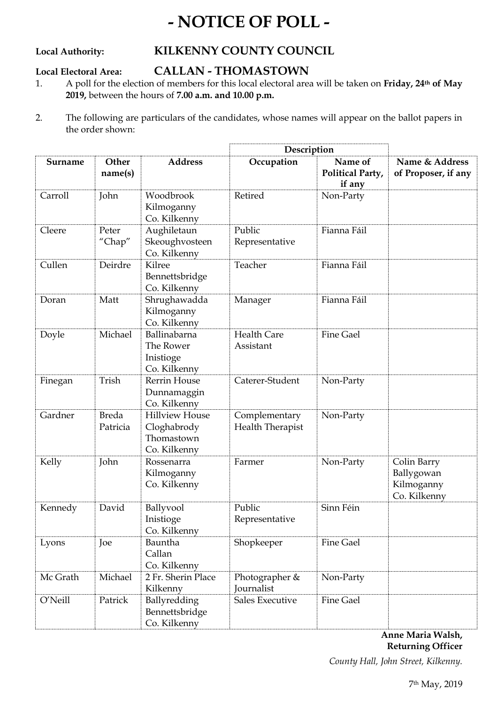## **- NOTICE OF POLL -**

## **Local Authority: KILKENNY COUNTY COUNCIL**

### **Local Electoral Area: CALLAN - THOMASTOWN**

- 1. A poll for the election of members for this local electoral area will be taken on **Friday, 24th of May 2019,** between the hours of **7.00 a.m. and 10.00 p.m.**
- 2. The following are particulars of the candidates, whose names will appear on the ballot papers in the order shown:

|          |                          |                                                                    | Description                       |                                       |                                                         |
|----------|--------------------------|--------------------------------------------------------------------|-----------------------------------|---------------------------------------|---------------------------------------------------------|
| Surname  | Other<br>name(s)         | <b>Address</b>                                                     | Occupation                        | Name of<br>Political Party,<br>if any | Name & Address<br>of Proposer, if any                   |
| Carroll  | John                     | Woodbrook<br>Kilmoganny<br>Co. Kilkenny                            | Retired                           | Non-Party                             |                                                         |
| Cleere   | Peter<br>"Chap"          | Aughiletaun<br>Skeoughvosteen<br>Co. Kilkenny                      | Public<br>Representative          | Fianna Fáil                           |                                                         |
| Cullen   | Deirdre                  | Kilree<br>Bennettsbridge<br>Co. Kilkenny                           | Teacher                           | Fianna Fáil                           |                                                         |
| Doran    | Matt                     | Shrughawadda<br>Kilmoganny<br>Co. Kilkenny                         | Manager                           | Fianna Fáil                           |                                                         |
| Doyle    | Michael                  | Ballinabarna<br>The Rower<br>Inistioge<br>Co. Kilkenny             | <b>Health Care</b><br>Assistant   | <b>Fine Gael</b>                      |                                                         |
| Finegan  | Trish                    | <b>Rerrin House</b><br>Dunnamaggin<br>Co. Kilkenny                 | Caterer-Student                   | Non-Party                             |                                                         |
| Gardner  | <b>Breda</b><br>Patricia | <b>Hillview House</b><br>Cloghabrody<br>Thomastown<br>Co. Kilkenny | Complementary<br>Health Therapist | Non-Party                             |                                                         |
| Kelly    | John                     | Rossenarra<br>Kilmoganny<br>Co. Kilkenny                           | Farmer                            | Non-Party                             | Colin Barry<br>Ballygowan<br>Kilmoganny<br>Co. Kilkenny |
| Kennedy  | David                    | Ballyvool<br>Inistioge<br>Co. Kilkenny                             | Public<br>Representative          | Sinn Féin                             |                                                         |
| Lyons    | Joe                      | Bauntha<br>Callan<br>Co. Kilkenny                                  | Shopkeeper                        | <b>Fine Gael</b>                      |                                                         |
| Mc Grath | Michael                  | 2 Fr. Sherin Place<br>Kilkenny                                     | Photographer &<br>Journalist      | Non-Party                             |                                                         |
| O'Neill  | Patrick                  | Ballyredding<br>Bennettsbridge<br>Co. Kilkenny                     | Sales Executive                   | <b>Fine Gael</b>                      |                                                         |

**Anne Maria Walsh, Returning Officer**

*County Hall, John Street, Kilkenny.*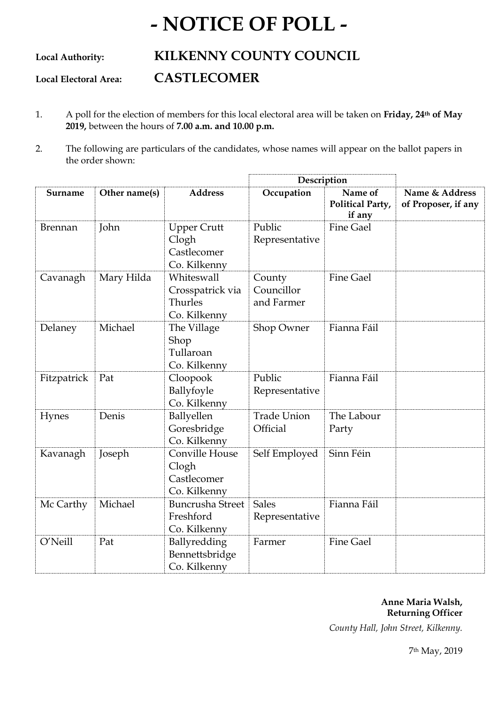# **- NOTICE OF POLL -**

**Local Authority: KILKENNY COUNTY COUNCIL**

**Local Electoral Area: CASTLECOMER**

- 1. A poll for the election of members for this local electoral area will be taken on **Friday, 24th of May 2019,** between the hours of **7.00 a.m. and 10.00 p.m.**
- 2. The following are particulars of the candidates, whose names will appear on the ballot papers in the order shown:

|                |               |                                                            | Description                        |                                       |                                       |
|----------------|---------------|------------------------------------------------------------|------------------------------------|---------------------------------------|---------------------------------------|
| Surname        | Other name(s) | <b>Address</b>                                             | Occupation                         | Name of<br>Political Party,<br>if any | Name & Address<br>of Proposer, if any |
| <b>Brennan</b> | John          | <b>Upper Crutt</b><br>Clogh<br>Castlecomer<br>Co. Kilkenny | Public<br>Representative           | <b>Fine Gael</b>                      |                                       |
| Cavanagh       | Mary Hilda    | Whiteswall<br>Crosspatrick via<br>Thurles<br>Co. Kilkenny  | County<br>Councillor<br>and Farmer | <b>Fine Gael</b>                      |                                       |
| Delaney        | Michael       | The Village<br>Shop<br>Tullaroan<br>Co. Kilkenny           | Shop Owner                         | Fianna Fáil                           |                                       |
| Fitzpatrick    | Pat           | Cloopook<br>Ballyfoyle<br>Co. Kilkenny                     | Public<br>Representative           | Fianna Fáil                           |                                       |
| Hynes          | Denis         | Ballyellen<br>Goresbridge<br>Co. Kilkenny                  | <b>Trade Union</b><br>Official     | The Labour<br>Party                   |                                       |
| Kavanagh       | Joseph        | Conville House<br>Clogh<br>Castlecomer<br>Co. Kilkenny     | Self Employed                      | Sinn Féin                             |                                       |
| Mc Carthy      | Michael       | <b>Buncrusha Street</b><br>Freshford<br>Co. Kilkenny       | <b>Sales</b><br>Representative     | Fianna Fáil                           |                                       |
| O'Neill        | Pat           | Ballyredding<br>Bennettsbridge<br>Co. Kilkenny             | Farmer                             | <b>Fine Gael</b>                      |                                       |

## **Anne Maria Walsh, Returning Officer**

*County Hall, John Street, Kilkenny.*

7th May, 2019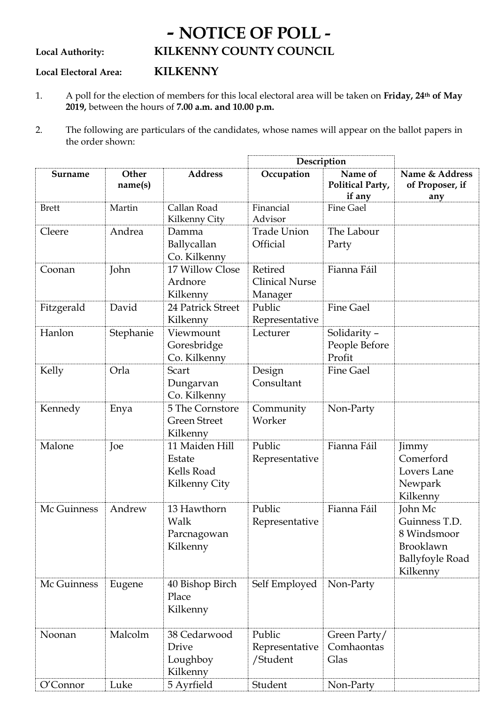## **- NOTICE OF POLL - Local Authority: KILKENNY COUNTY COUNCIL**

## **Local Electoral Area: KILKENNY**

- 1. A poll for the election of members for this local electoral area will be taken on **Friday, 24th of May 2019,** between the hours of **7.00 a.m. and 10.00 p.m.**
- 2. The following are particulars of the candidates, whose names will appear on the ballot papers in the order shown:

|              |                  | Description                                             |                                             |                                         |                                                                                            |
|--------------|------------------|---------------------------------------------------------|---------------------------------------------|-----------------------------------------|--------------------------------------------------------------------------------------------|
| Surname      | Other<br>name(s) | <b>Address</b>                                          | Occupation                                  | Name of<br>Political Party,<br>if any   | Name & Address<br>of Proposer, if<br>any                                                   |
| <b>Brett</b> | Martin           | Callan Road<br>Kilkenny City                            | Financial<br>Advisor                        | <b>Fine Gael</b>                        |                                                                                            |
| Cleere       | Andrea           | Damma<br>Ballycallan<br>Co. Kilkenny                    | <b>Trade Union</b><br>Official              | The Labour<br>Party                     |                                                                                            |
| Coonan       | John             | 17 Willow Close<br>Ardnore<br>Kilkenny                  | Retired<br><b>Clinical Nurse</b><br>Manager | Fianna Fáil                             |                                                                                            |
| Fitzgerald   | David            | 24 Patrick Street<br>Kilkenny                           | Public<br>Representative                    | <b>Fine Gael</b>                        |                                                                                            |
| Hanlon       | Stephanie        | Viewmount<br>Goresbridge<br>Co. Kilkenny                | Lecturer                                    | Solidarity -<br>People Before<br>Profit |                                                                                            |
| Kelly        | Orla             | Scart<br>Dungarvan<br>Co. Kilkenny                      | Design<br>Consultant                        | <b>Fine Gael</b>                        |                                                                                            |
| Kennedy      | Enya             | 5 The Cornstore<br><b>Green Street</b><br>Kilkenny      | Community<br>Worker                         | Non-Party                               |                                                                                            |
| Malone       | Joe              | 11 Maiden Hill<br>Estate<br>Kells Road<br>Kilkenny City | Public<br>Representative                    | Fianna Fáil                             | Jimmy<br>Comerford<br>Lovers Lane<br>Newpark<br>Kilkenny                                   |
| Mc Guinness  | Andrew           | 13 Hawthorn<br>Walk<br>Parcnagowan<br>Kilkenny          | Public<br>Representative                    | Fianna Fáil                             | John Mc<br>Guinness T.D.<br>8 Windsmoor<br>Brooklawn<br><b>Ballyfoyle Road</b><br>Kilkenny |
| Mc Guinness  | Eugene           | 40 Bishop Birch<br>Place<br>Kilkenny                    | Self Employed                               | Non-Party                               |                                                                                            |
| Noonan       | Malcolm          | 38 Cedarwood<br>Drive<br>Loughboy<br>Kilkenny           | Public<br>Representative<br>/Student        | Green Party/<br>Comhaontas<br>Glas      |                                                                                            |
| O'Connor     | Luke             | 5 Ayrfield                                              | Student                                     | Non-Party                               |                                                                                            |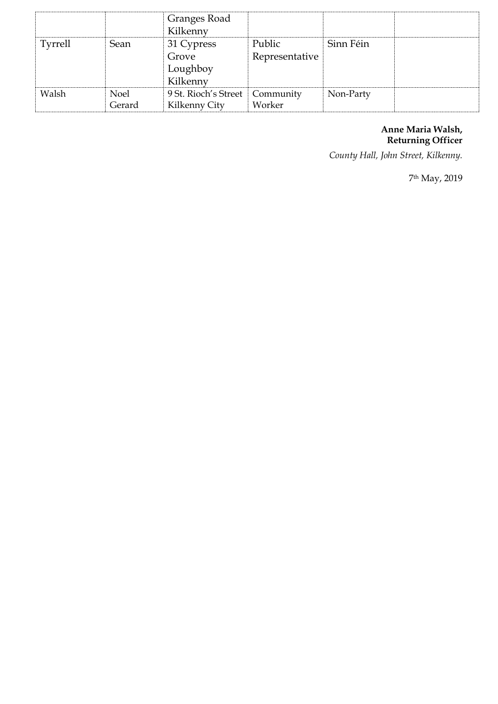|                |             | Granges Road<br>Kilkenny                    |                          |           |  |
|----------------|-------------|---------------------------------------------|--------------------------|-----------|--|
| <b>Tyrrell</b> | Sean        | 31 Cypress<br>Grove<br>Loughboy<br>Kilkenny | Public<br>Representative | Sinn Féin |  |
| Walsh          | <b>Noel</b> | 9 St. Rioch's Street                        | Community                | Non-Party |  |
|                | Gerard      | Kilkenny City                               | Worker                   |           |  |

### **Anne Maria Walsh, Returning Officer**

*County Hall, John Street, Kilkenny.*

7th May, 2019